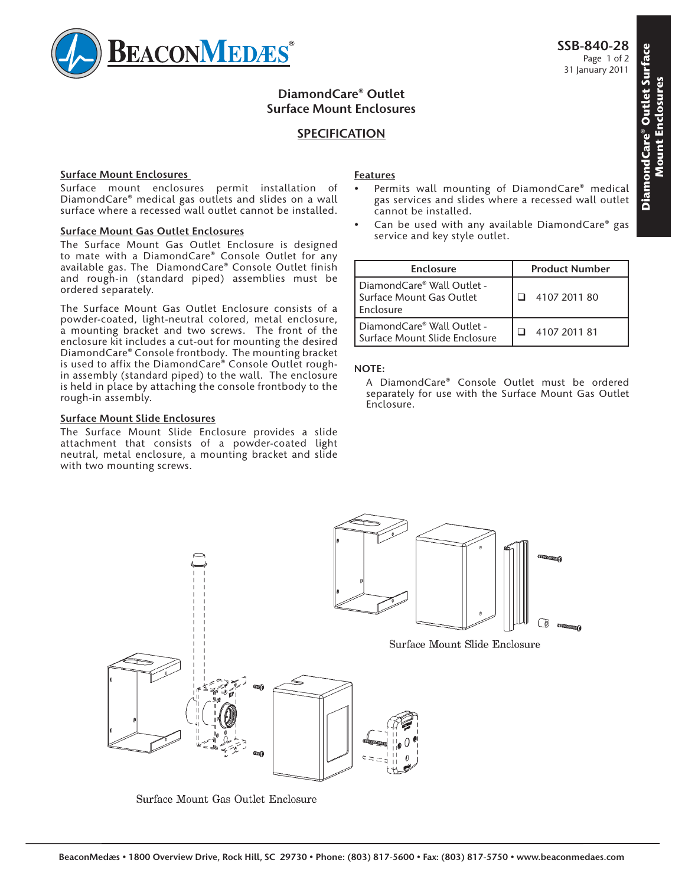

# **DiamondCare® Outlet Surface Mount Enclosures**

# **SPECIFICATION**

### **Surface Mount Enclosures**

Surface mount enclosures permit installation of DiamondCare® medical gas outlets and slides on a wall surface where a recessed wall outlet cannot be installed.

#### **Surface Mount Gas Outlet Enclosures**

The Surface Mount Gas Outlet Enclosure is designed to mate with a DiamondCare® Console Outlet for any available gas. The DiamondCare® Console Outlet finish and rough-in (standard piped) assemblies must be ordered separately.

The Surface Mount Gas Outlet Enclosure consists of a powder-coated, light-neutral colored, metal enclosure, a mounting bracket and two screws. The front of the enclosure kit includes a cut-out for mounting the desired DiamondCare® Console frontbody. The mounting bracket is used to affix the DiamondCare® Console Outlet roughin assembly (standard piped) to the wall. The enclosure is held in place by attaching the console frontbody to the rough-in assembly.

### **Surface Mount Slide Enclosures**

The Surface Mount Slide Enclosure provides a slide attachment that consists of a powder-coated light neutral, metal enclosure, a mounting bracket and slide with two mounting screws.

### **Features**

- Permits wall mounting of DiamondCare® medical gas services and slides where a recessed wall outlet cannot be installed.
- Can be used with any available DiamondCare® gas service and key style outlet.

| Enclosure                                                           | <b>Product Number</b> |
|---------------------------------------------------------------------|-----------------------|
| DiamondCare® Wall Outlet -<br>Surface Mount Gas Outlet<br>Enclosure | 4107 2011 80          |
| DiamondCare® Wall Outlet -<br>Surface Mount Slide Enclosure         | 4107 2011 81          |

### **NOTE:**



Surface Mount Gas Outlet Enclosure

A DiamondCare® Console Outlet must be ordered separately for use with the Surface Mount Gas Outlet Enclosure.